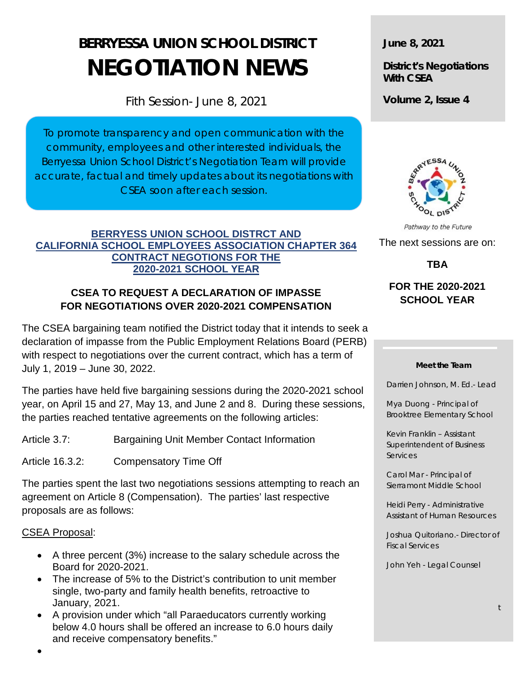# **BERRYESSA UNION SCHOOL DISTRICT NEGOTIATION NEWS**

Fith Session- June 8, 2021

To promote transparency and open communication with the community, employees and other interested individuals, the Berryessa Union School District's Negotiation Team will provide accurate, factual and timely updates about its negotiations with CSEA soon after each session.

#### **BERRYESS UNION SCHOOL DISTRCT AND CALIFORNIA SCHOOL EMPLOYEES ASSOCIATION CHAPTER 364 CONTRACT NEGOTIONS FOR THE 2020-2021 SCHOOL YEAR**

# **CSEA TO REQUEST A DECLARATION OF IMPASSE FOR NEGOTIATIONS OVER 2020-2021 COMPENSATION**

The CSEA bargaining team notified the District today that it intends to seek a declaration of impasse from the Public Employment Relations Board (PERB) with respect to negotiations over the current contract, which has a term of July 1, 2019 – June 30, 2022.

The parties have held five bargaining sessions during the 2020-2021 school year, on April 15 and 27, May 13, and June 2 and 8. During these sessions, the parties reached tentative agreements on the following articles:

Article 3.7: Bargaining Unit Member Contact Information

Article 16.3.2: Compensatory Time Off

The parties spent the last two negotiations sessions attempting to reach an agreement on Article 8 (Compensation).The parties' last respective proposals are as follows:

## CSEA Proposal:

- A three percent (3%) increase to the salary schedule across the Board for 2020-2021.
- The increase of 5% to the District's contribution to unit member single, two-party and family health benefits, retroactive to January, 2021.
- A provision under which "all Paraeducators currently working below 4.0 hours shall be offered an increase to 6.0 hours daily and receive compensatory benefits."

**June 8, 2021**

**District's Negotiations With CSEA**

**Volume 2, Issue 4**



Pathway to the Future The next sessions are on: **TBA**

# **FOR THE 2020-2021 SCHOOL YEAR**

#### **Meet the Team**

Darrien Johnson, M. Ed.- Lead

Mya Duong - Principal of Brooktree Elementary School

Kevin Franklin – Assistant Superintendent of Business **Services** 

Carol Mar - Principal of Sierramont Middle School

Heidi Perry - Administrative Assistant of Human Resources

Joshua Quitoriano.- Director of Fiscal Services

John Yeh - Legal Counsel